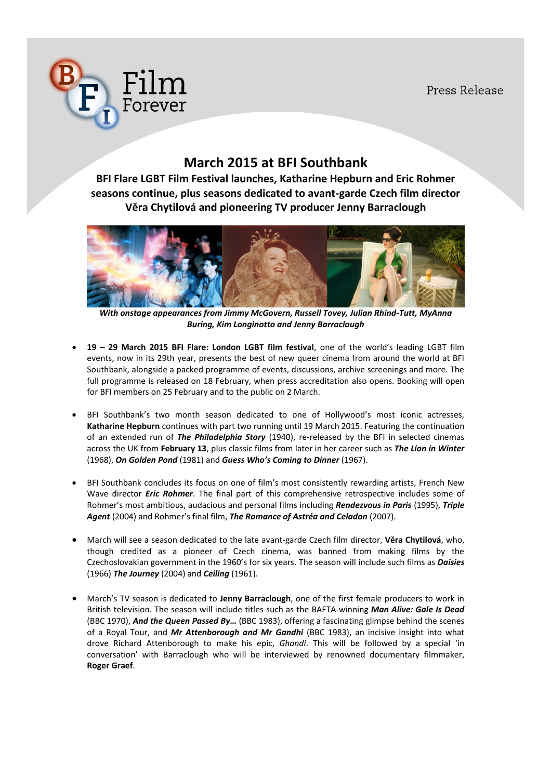Press Release



# **March 2015 at BFI Southbank**

**BFI Flare LGBT Film Festival launches, Katharine Hepburn and Eric Rohmer seasons continue, plus seasons dedicated to avant-garde Czech film director Věra Chytilová and pioneering TV producer Jenny Barraclough** 



*With onstage appearances from Jimmy McGovern, Russell Tovey, Julian Rhind-Tutt, MyAnna Buring, Kim Longinotto and Jenny Barraclough*

- x **19 – 29 March 2015 BFI Flare: London LGBT film festival**, one of the world's leading LGBT film events, now in its 29th year, presents the best of new queer cinema from around the world at BFI Southbank, alongside a packed programme of events, discussions, archive screenings and more. The full programme is released on 18 February, when press accreditation also opens. Booking will open for BFI members on 25 February and to the public on 2 March.
- BFI Southbank's two month season dedicated to one of Hollywood's most iconic actresses, **Katharine Hepburn** continues with part two running until 19 March 2015. Featuring the continuation of an extended run of *The Philadelphia Story* (1940), re-released by the BFI in selected cinemas across the UK from **February 13**, plus classic films from later in her career such as *The Lion in Winter* (1968), *On Golden Pond* (1981) and *Guess Who's Coming to Dinner* (1967).
- BFI Southbank concludes its focus on one of film's most consistently rewarding artists, French New Wave director *Eric Rohmer*. The final part of this comprehensive retrospective includes some of Rohmer's most ambitious, audacious and personal films including *Rendezvous in Paris* (1995), *Triple Agent* (2004) and Rohmer's final film, *The Romance of Astréa and Celadon* (2007).
- x March will see a season dedicated to the late avant-garde Czech film director, **Věra Chytilová**, who, though credited as a pioneer of Czech cinema, was banned from making films by the Czechoslovakian government in the 1960's for six years. The season will include such films as *Daisies*  (1966) *The Journey* (2004) and *Ceiling* (1961).
- x March's TV season is dedicated to **Jenny Barraclough**, one of the first female producers to work in British television. The season will include titles such as the BAFTA-winning *Man Alive: Gale Is Dead* (BBC 1970), *And the Queen Passed By…* (BBC 1983), offering a fascinating glimpse behind the scenes of a Royal Tour, and *Mr Attenborough and Mr Gandhi* (BBC 1983), an incisive insight into what drove Richard Attenborough to make his epic, *Ghandi*. This will be followed by a special 'in conversation' with Barraclough who will be interviewed by renowned documentary filmmaker, **Roger Graef**.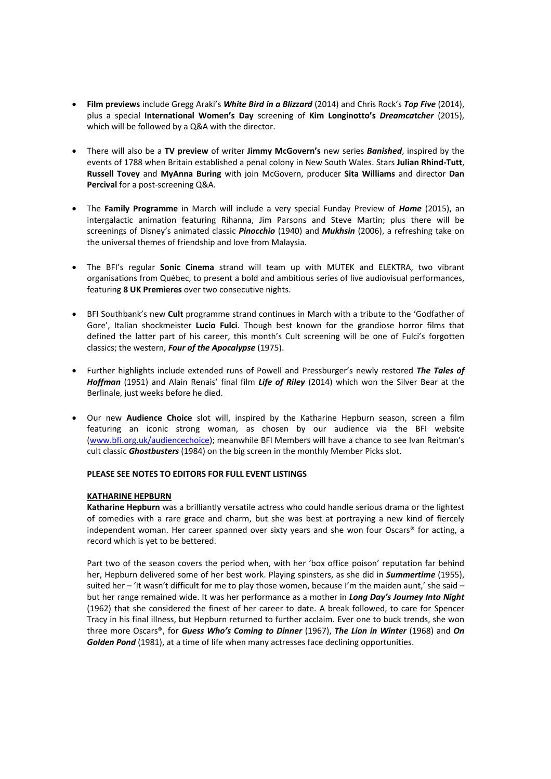- x **Film previews** include Gregg Araki's *White Bird in a Blizzard* (2014) and Chris Rock's *Top Five* (2014), plus a special **International Women's Day** screening of **Kim Longinotto's** *Dreamcatcher* (2015), which will be followed by a Q&A with the director.
- x There will also be a **TV preview** of writer **Jimmy McGovern's** new series *Banished*, inspired by the events of 1788 when Britain established a penal colony in New South Wales. Stars **Julian Rhind-Tutt**, **Russell Tovey** and **MyAnna Buring** with join McGovern, producer **Sita Williams** and director **Dan Percival** for a post-screening Q&A.
- x The **Family Programme** in March will include a very special Funday Preview of *Home* (2015), an intergalactic animation featuring Rihanna, Jim Parsons and Steve Martin; plus there will be screenings of Disney's animated classic *Pinocchio* (1940) and *Mukhsin* (2006), a refreshing take on the universal themes of friendship and love from Malaysia.
- x The BFI's regular **Sonic Cinema** strand will team up with MUTEK and ELEKTRA, two vibrant organisations from Québec, to present a bold and ambitious series of live audiovisual performances, featuring **8 UK Premieres** over two consecutive nights.
- x BFI Southbank's new **Cult** programme strand continues in March with a tribute to the 'Godfather of Gore', Italian shockmeister **Lucio Fulci**. Though best known for the grandiose horror films that defined the latter part of his career, this month's Cult screening will be one of Fulci's forgotten classics; the western, *Four of the Apocalypse* (1975).
- Further highlights include extended runs of Powell and Pressburger's newly restored The Tales of *Hoffman* (1951) and Alain Renais' final film *Life of Riley* (2014) which won the Silver Bear at the Berlinale, just weeks before he died.
- x Our new **Audience Choice** slot will, inspired by the Katharine Hepburn season, screen a film featuring an iconic strong woman, as chosen by our audience via the BFI website (www.bfi.org.uk/audiencechoice); meanwhile BFI Members will have a chance to see Ivan Reitman's cult classic *Ghostbusters* (1984) on the big screen in the monthly Member Picks slot.

### **PLEASE SEE NOTES TO EDITORS FOR FULL EVENT LISTINGS**

### **KATHARINE HEPBURN**

**Katharine Hepburn** was a brilliantly versatile actress who could handle serious drama or the lightest of comedies with a rare grace and charm, but she was best at portraying a new kind of fiercely independent woman. Her career spanned over sixty years and she won four Oscars® for acting, a record which is yet to be bettered.

Part two of the season covers the period when, with her 'box office poison' reputation far behind her, Hepburn delivered some of her best work. Playing spinsters, as she did in *Summertime* (1955), suited her – 'It wasn't difficult for me to play those women, because I'm the maiden aunt,' she said – but her range remained wide. It was her performance as a mother in *Long Day's Journey Into Night* (1962) that she considered the finest of her career to date. A break followed, to care for Spencer Tracy in his final illness, but Hepburn returned to further acclaim. Ever one to buck trends, she won three more Oscars®, for *Guess Who's Coming to Dinner* (1967), *The Lion in Winter* (1968) and *On Golden Pond* (1981), at a time of life when many actresses face declining opportunities.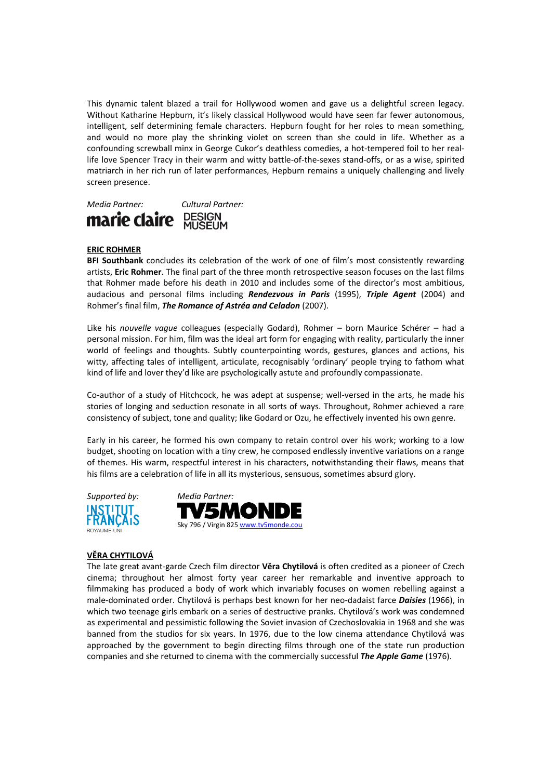This dynamic talent blazed a trail for Hollywood women and gave us a delightful screen legacy. Without Katharine Hepburn, it's likely classical Hollywood would have seen far fewer autonomous, intelligent, self determining female characters. Hepburn fought for her roles to mean something, and would no more play the shrinking violet on screen than she could in life. Whether as a confounding screwball minx in George Cukor's deathless comedies, a hot-tempered foil to her reallife love Spencer Tracy in their warm and witty battle-of-the-sexes stand-offs, or as a wise, spirited matriarch in her rich run of later performances, Hepburn remains a uniquely challenging and lively screen presence.



### **ERIC ROHMER**

**BFI Southbank** concludes its celebration of the work of one of film's most consistently rewarding artists, **Eric Rohmer**. The final part of the three month retrospective season focuses on the last films that Rohmer made before his death in 2010 and includes some of the director's most ambitious, audacious and personal films including *Rendezvous in Paris* (1995), *Triple Agent* (2004) and Rohmer's final film, *The Romance of Astréa and Celadon* (2007).

Like his *nouvelle vague* colleagues (especially Godard), Rohmer – born Maurice Schérer – had a personal mission. For him, film was the ideal art form for engaging with reality, particularly the inner world of feelings and thoughts. Subtly counterpointing words, gestures, glances and actions, his witty, affecting tales of intelligent, articulate, recognisably 'ordinary' people trying to fathom what kind of life and lover they'd like are psychologically astute and profoundly compassionate.

Co-author of a study of Hitchcock, he was adept at suspense; well-versed in the arts, he made his stories of longing and seduction resonate in all sorts of ways. Throughout, Rohmer achieved a rare consistency of subject, tone and quality; like Godard or Ozu, he effectively invented his own genre.

Early in his career, he formed his own company to retain control over his work; working to a low budget, shooting on location with a tiny crew, he composed endlessly inventive variations on a range of themes. His warm, respectful interest in his characters, notwithstanding their flaws, means that his films are a celebration of life in all its mysterious, sensuous, sometimes absurd glory.





### **VĚRA CHYTILOVÁ**

The late great avant-garde Czech film director **Věra Chytilová** is often credited as a pioneer of Czech cinema; throughout her almost forty year career her remarkable and inventive approach to filmmaking has produced a body of work which invariably focuses on women rebelling against a male-dominated order. Chytilová is perhaps best known for her neo-dadaist farce *Daisies* (1966), in which two teenage girls embark on a series of destructive pranks. Chytilová's work was condemned as experimental and pessimistic following the Soviet invasion of Czechoslovakia in 1968 and she was banned from the studios for six years. In 1976, due to the low cinema attendance Chytilová was approached by the government to begin directing films through one of the state run production companies and she returned to cinema with the commercially successful *The Apple Game* (1976).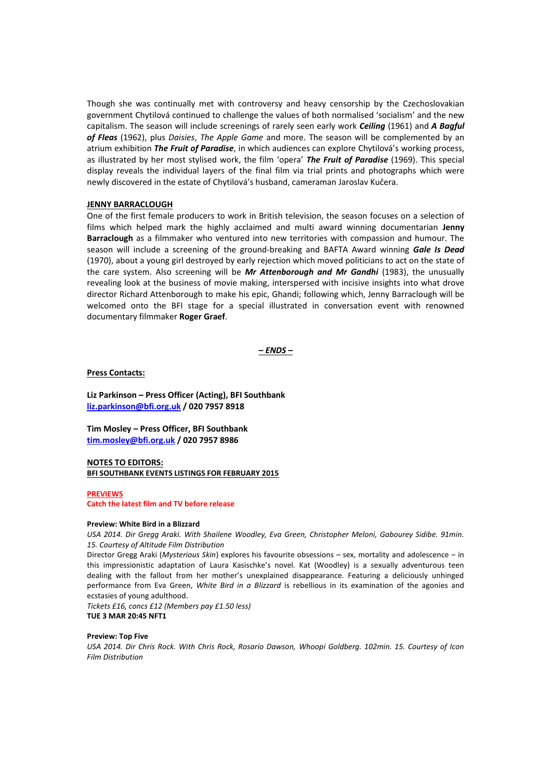Though she was continually met with controversy and heavy censorship by the Czechoslovakian government Chytilová continued to challenge the values of both normalised 'socialism' and the new capitalism. The season will include screenings of rarely seen early work *Ceiling* (1961) and *A Bagful of Fleas* (1962), plus *Daisies*, *The Apple Game* and more. The season will be complemented by an atrium exhibition *The Fruit of Paradise*, in which audiences can explore Chytilová's working process, as illustrated by her most stylised work, the film 'opera' *The Fruit of Paradise* (1969). This special display reveals the individual layers of the final film via trial prints and photographs which were newly discovered in the estate of Chytilová's husband, cameraman Jaroslav Kučera.

### **JENNY BARRACLOUGH**

One of the first female producers to work in British television, the season focuses on a selection of films which helped mark the highly acclaimed and multi award winning documentarian **Jenny Barraclough** as a filmmaker who ventured into new territories with compassion and humour. The season will include a screening of the ground-breaking and BAFTA Award winning *Gale Is Dead* (1970), about a young girl destroyed by early rejection which moved politicians to act on the state of the care system. Also screening will be *Mr Attenborough and Mr Gandhi* (1983), the unusually revealing look at the business of movie making, interspersed with incisive insights into what drove director Richard Attenborough to make his epic, Ghandi; following which, Jenny Barraclough will be welcomed onto the BFI stage for a special illustrated in conversation event with renowned documentary filmmaker **Roger Graef**.

*– ENDS –*

#### **Press Contacts:**

**Liz Parkinson – Press Officer (Acting), BFI Southbank liz.parkinson@bfi.org.uk / 020 7957 8918** 

**Tim Mosley – Press Officer, BFI Southbank tim.mosley@bfi.org.uk / 020 7957 8986**

### **NOTES TO EDITORS: BFI SOUTHBANK EVENTS LISTINGS FOR FEBRUARY 2015**

#### **PREVIEWS**

### **Catch the latest film and TV before release**

### **Preview: White Bird in a Blizzard**

*USA 2014. Dir Gregg Araki. With Shailene Woodley, Eva Green, Christopher Meloni, Gabourey Sidibe. 91min. 15. Courtesy of Altitude Film Distribution*

Director Gregg Araki (*Mysterious Skin*) explores his favourite obsessions – sex, mortality and adolescence – in this impressionistic adaptation of Laura Kasischke's novel. Kat (Woodley) is a sexually adventurous teen dealing with the fallout from her mother's unexplained disappearance. Featuring a deliciously unhinged performance from Eva Green, *White Bird in a Blizzard* is rebellious in its examination of the agonies and ecstasies of young adulthood.

*Tickets £16, concs £12 (Members pay £1.50 less)* **TUE 3 MAR 20:45 NFT1**

#### **Preview: Top Five**

*USA 2014. Dir Chris Rock. With Chris Rock, Rosario Dawson, Whoopi Goldberg. 102min. 15. Courtesy of Icon Film Distribution*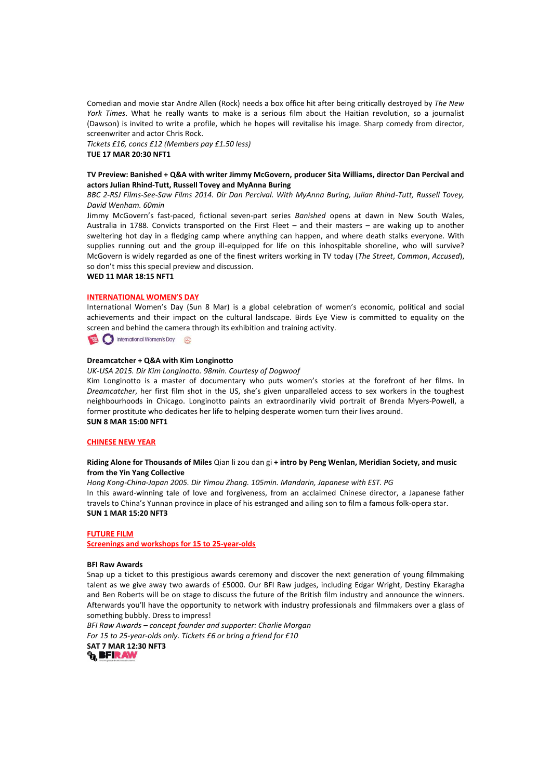Comedian and movie star Andre Allen (Rock) needs a box office hit after being critically destroyed by *The New York Times*. What he really wants to make is a serious film about the Haitian revolution, so a journalist (Dawson) is invited to write a profile, which he hopes will revitalise his image. Sharp comedy from director, screenwriter and actor Chris Rock.

*Tickets £16, concs £12 (Members pay £1.50 less)* **TUE 17 MAR 20:30 NFT1**

### **TV Preview: Banished + Q&A with writer Jimmy McGovern, producer Sita Williams, director Dan Percival and actors Julian Rhind-Tutt, Russell Tovey and MyAnna Buring**

*BBC 2-RSJ Films-See-Saw Films 2014. Dir Dan Percival. With MyAnna Buring, Julian Rhind-Tutt, Russell Tovey, David Wenham. 60min*

Jimmy McGovern's fast-paced, fictional seven-part series *Banished* opens at dawn in New South Wales, Australia in 1788. Convicts transported on the First Fleet – and their masters – are waking up to another sweltering hot day in a fledging camp where anything can happen, and where death stalks everyone. With supplies running out and the group ill-equipped for life on this inhospitable shoreline, who will survive? McGovern is widely regarded as one of the finest writers working in TV today (*The Street*, *Common*, *Accused*), so don't miss this special preview and discussion.

**WED 11 MAR 18:15 NFT1**

#### **INTERNATIONAL WOMEN'S DAY**

International Women's Day (Sun 8 Mar) is a global celebration of women's economic, political and social achievements and their impact on the cultural landscape. Birds Eye View is committed to equality on the screen and behind the camera through its exhibition and training activity.

International Women's Day

### **Dreamcatcher + Q&A with Kim Longinotto**

*UK-USA 2015. Dir Kim Longinotto. 98min. Courtesy of Dogwoof*

Kim Longinotto is a master of documentary who puts women's stories at the forefront of her films. In *Dreamcatcher*, her first film shot in the US, she's given unparalleled access to sex workers in the toughest neighbourhoods in Chicago. Longinotto paints an extraordinarily vivid portrait of Brenda Myers-Powell, a former prostitute who dedicates her life to helping desperate women turn their lives around. **SUN 8 MAR 15:00 NFT1**

### **CHINESE NEW YEAR**

### **Riding Alone for Thousands of Miles** Qian li zou dan gi **+ intro by Peng Wenlan, Meridian Society, and music from the Yin Yang Collective**

*Hong Kong-China-Japan 2005. Dir Yimou Zhang. 105min. Mandarin, Japanese with EST. PG*

In this award-winning tale of love and forgiveness, from an acclaimed Chinese director, a Japanese father travels to China's Yunnan province in place of his estranged and ailing son to film a famous folk-opera star. **SUN 1 MAR 15:20 NFT3**

#### **FUTURE FILM**

**Screenings and workshops for 15 to 25-year-olds**

#### **BFI Raw Awards**

Snap up a ticket to this prestigious awards ceremony and discover the next generation of young filmmaking talent as we give away two awards of £5000. Our BFI Raw judges, including Edgar Wright, Destiny Ekaragha and Ben Roberts will be on stage to discuss the future of the British film industry and announce the winners. Afterwards you'll have the opportunity to network with industry professionals and filmmakers over a glass of something bubbly. Dress to impress!

*BFI Raw Awards – concept founder and supporter: Charlie Morgan For 15 to 25-year-olds only. Tickets £6 or bring a friend for £10*

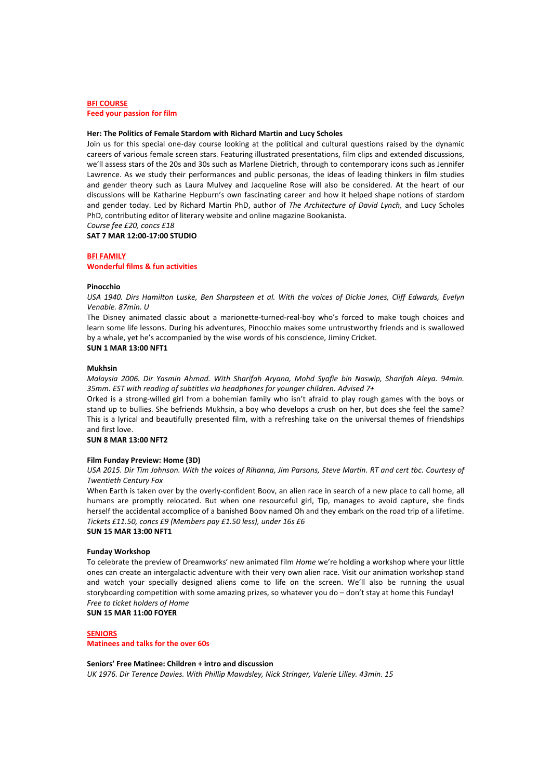### **BFI COURSE**

**Feed your passion for film**

#### **Her: The Politics of Female Stardom with Richard Martin and Lucy Scholes**

Join us for this special one-day course looking at the political and cultural questions raised by the dynamic careers of various female screen stars. Featuring illustrated presentations, film clips and extended discussions, we'll assess stars of the 20s and 30s such as Marlene Dietrich, through to contemporary icons such as Jennifer Lawrence. As we study their performances and public personas, the ideas of leading thinkers in film studies and gender theory such as Laura Mulvey and Jacqueline Rose will also be considered. At the heart of our discussions will be Katharine Hepburn's own fascinating career and how it helped shape notions of stardom and gender today. Led by Richard Martin PhD, author of *The Architecture of David Lynch,* and Lucy Scholes PhD, contributing editor of literary website and online magazine Bookanista.

*Course fee £20, concs £18*

#### **SAT 7 MAR 12:00-17:00 STUDIO**

#### **BFI FAMILY**

#### **Wonderful films & fun activities**

#### **Pinocchio**

*USA 1940. Dirs Hamilton Luske, Ben Sharpsteen et al. With the voices of Dickie Jones, Cliff Edwards, Evelyn Venable. 87min. U*

The Disney animated classic about a marionette-turned-real-boy who's forced to make tough choices and learn some life lessons. During his adventures, Pinocchio makes some untrustworthy friends and is swallowed by a whale, yet he's accompanied by the wise words of his conscience, Jiminy Cricket.

### **SUN 1 MAR 13:00 NFT1**

#### **Mukhsin**

*Malaysia 2006. Dir Yasmin Ahmad. With Sharifah Aryana, Mohd Syafie bin Naswip, Sharifah Aleya. 94min. 35mm. EST with reading of subtitles via headphones for younger children. Advised 7+*

Orked is a strong-willed girl from a bohemian family who isn't afraid to play rough games with the boys or stand up to bullies. She befriends Mukhsin, a boy who develops a crush on her, but does she feel the same? This is a lyrical and beautifully presented film, with a refreshing take on the universal themes of friendships and first love.

### **SUN 8 MAR 13:00 NFT2**

### **Film Funday Preview: Home (3D)**

*USA 2015. Dir Tim Johnson. With the voices of Rihanna, Jim Parsons, Steve Martin. RT and cert tbc. Courtesy of Twentieth Century Fox*

When Earth is taken over by the overly-confident Boov, an alien race in search of a new place to call home, all humans are promptly relocated. But when one resourceful girl, Tip, manages to avoid capture, she finds herself the accidental accomplice of a banished Boov named Oh and they embark on the road trip of a lifetime. *Tickets £11.50, concs £9 (Members pay £1.50 less), under 16s £6*

### **SUN 15 MAR 13:00 NFT1**

#### **Funday Workshop**

To celebrate the preview of Dreamworks' new animated film *Home* we're holding a workshop where your little ones can create an intergalactic adventure with their very own alien race. Visit our animation workshop stand and watch your specially designed aliens come to life on the screen. We'll also be running the usual storyboarding competition with some amazing prizes, so whatever you do - don't stay at home this Funday! *Free to ticket holders of Home*

**SUN 15 MAR 11:00 FOYER**

#### **SENIORS**

**Matinees and talks for the over 60s**

#### **Seniors' Free Matinee: Children + intro and discussion**

*UK 1976. Dir Terence Davies. With Phillip Mawdsley, Nick Stringer, Valerie Lilley. 43min. 15*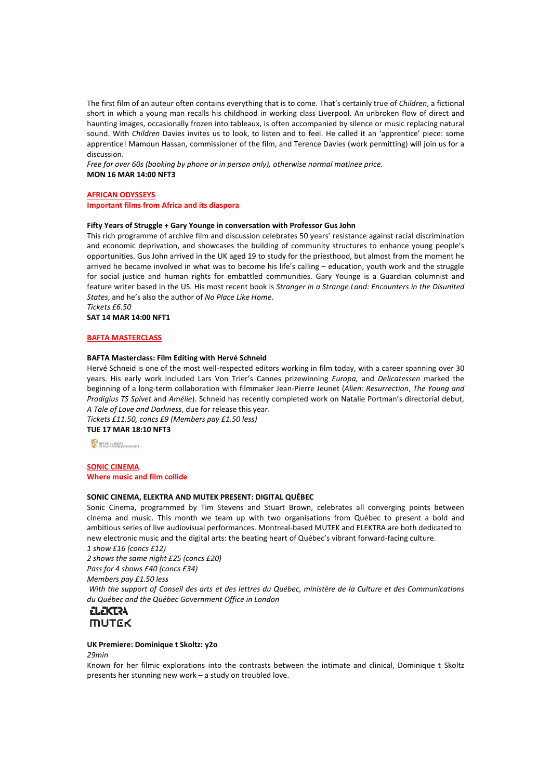The first film of an auteur often contains everything that is to come. That's certainly true of *Children*, a fictional short in which a young man recalls his childhood in working class Liverpool. An unbroken flow of direct and haunting images, occasionally frozen into tableaux, is often accompanied by silence or music replacing natural sound. With *Children* Davies invites us to look, to listen and to feel. He called it an 'apprentice' piece: some apprentice! Mamoun Hassan, commissioner of the film, and Terence Davies (work permitting) will join us for a discussion.

*Free for over 60s (booking by phone or in person only), otherwise normal matinee price.* **MON 16 MAR 14:00 NFT3**

## **AFRICAN ODYSSEYS**

**Important films from Africa and its diaspora**

### **Fifty Years of Struggle + Gary Younge in conversation with Professor Gus John**

This rich programme of archive film and discussion celebrates 50 years' resistance against racial discrimination and economic deprivation, and showcases the building of community structures to enhance young people's opportunities. Gus John arrived in the UK aged 19 to study for the priesthood, but almost from the moment he arrived he became involved in what was to become his life's calling – education, youth work and the struggle for social justice and human rights for embattled communities. Gary Younge is a Guardian columnist and feature writer based in the US. His most recent book is *Stranger in a Strange Land: Encounters in the Disunited States*, and he's also the author of *No Place Like Home*. *Tickets £6.50*

**SAT 14 MAR 14:00 NFT1**

### **BAFTA MASTERCLASS**

### **BAFTA Masterclass: Film Editing with Hervé Schneid**

Hervé Schneid is one of the most well-respected editors working in film today, with a career spanning over 30 years. His early work included Lars Von Trier's Cannes prizewinning *Europa,* and *Delicatessen* marked the beginning of a long-term collaboration with filmmaker Jean-Pierre Jeunet (*Alien: Resurrection*, *The Young and Prodigius TS Spivet* and *Amélie*). Schneid has recently completed work on Natalie Portman's directorial debut, *A Tale of Love and Darkness*, due for release this year.

*Tickets £11.50, concs £9 (Members pay £1.50 less)*

**TUE 17 MAR 18:10 NFT3**

ET BRITISH ACADEMY

### **SONIC CINEMA Where music and film collide**

#### **SONIC CINEMA, ELEKTRA AND MUTEK PRESENT: DIGITAL QUÉBEC**

Sonic Cinema, programmed by Tim Stevens and Stuart Brown, celebrates all converging points between cinema and music. This month we team up with two organisations from Québec to present a bold and ambitious series of live audiovisual performances. Montreal-based MUTEK and ELEKTRA are both dedicated to new electronic music and the digital arts: the beating heart of Québec's vibrant forward-facing culture. *1 show £16 (concs £12)*

*2 shows the same night £25 (concs £20)*

*Pass for 4 shows £40 (concs £34)*

*Members pay £1.50 less*

*With the support of Conseil des arts et des lettres du Québec, ministère de la Culture et des Communications du Québec and the Québec Government Office in London*

# **ELEKTRA MUTEK**

### **UK Premiere: Dominique t Skoltz: y2o**

*29min*

Known for her filmic explorations into the contrasts between the intimate and clinical, Dominique t Skoltz presents her stunning new work – a study on troubled love.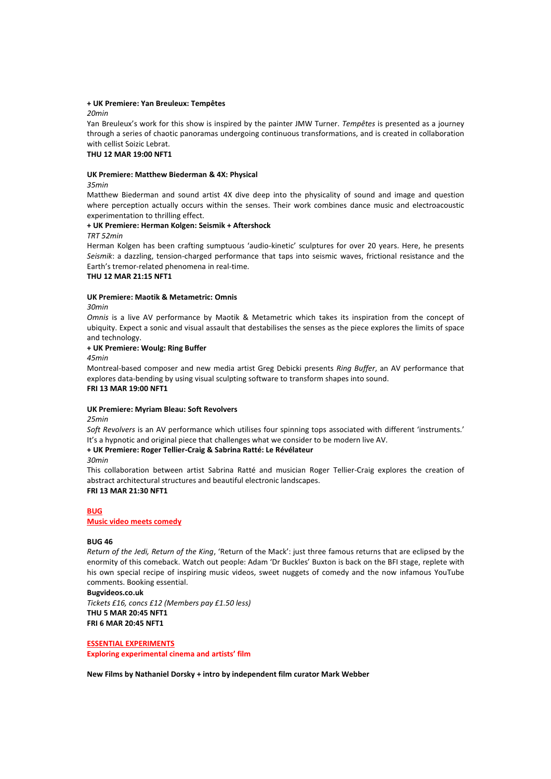#### **+ UK Premiere: Yan Breuleux: Tempêtes**

*20min*

Yan Breuleux's work for this show is inspired by the painter JMW Turner. *Tempêtes* is presented as a journey through a series of chaotic panoramas undergoing continuous transformations, and is created in collaboration with cellist Soizic Lebrat.

### **THU 12 MAR 19:00 NFT1**

#### **UK Premiere: Matthew Biederman & 4X: Physical**

*35min*

Matthew Biederman and sound artist 4X dive deep into the physicality of sound and image and question where perception actually occurs within the senses. Their work combines dance music and electroacoustic experimentation to thrilling effect.

### **+ UK Premiere: Herman Kolgen: Seismik + Aftershock**

*TRT 52min*

Herman Kolgen has been crafting sumptuous 'audio-kinetic' sculptures for over 20 years. Here, he presents *Seismik*: a dazzling, tension-charged performance that taps into seismic waves, frictional resistance and the Earth's tremor-related phenomena in real-time.

### **THU 12 MAR 21:15 NFT1**

### **UK Premiere: Maotik & Metametric: Omnis**

*30min*

*Omnis* is a live AV performance by Maotik & Metametric which takes its inspiration from the concept of ubiquity. Expect a sonic and visual assault that destabilises the senses as the piece explores the limits of space and technology.

### **+ UK Premiere: Woulg: Ring Buffer**

*45min*

Montreal-based composer and new media artist Greg Debicki presents *Ring Buffer*, an AV performance that explores data-bending by using visual sculpting software to transform shapes into sound. **FRI 13 MAR 19:00 NFT1**

### **UK Premiere: Myriam Bleau: Soft Revolvers**

*25min*

*Soft Revolvers* is an AV performance which utilises four spinning tops associated with different 'instruments.' It's a hypnotic and original piece that challenges what we consider to be modern live AV.

### **+ UK Premiere: Roger Tellier-Craig & Sabrina Ratté: Le Révélateur**

*30min*

This collaboration between artist Sabrina Ratté and musician Roger Tellier-Craig explores the creation of abstract architectural structures and beautiful electronic landscapes. **FRI 13 MAR 21:30 NFT1**

### **BUG Music video meets comedy**

### **BUG 46**

*Return of the Jedi, Return of the King*, 'Return of the Mack': just three famous returns that are eclipsed by the enormity of this comeback. Watch out people: Adam 'Dr Buckles' Buxton is back on the BFI stage, replete with his own special recipe of inspiring music videos, sweet nuggets of comedy and the now infamous YouTube comments. Booking essential.

**Bugvideos.co.uk** *Tickets £16, concs £12 (Members pay £1.50 less)* **THU 5 MAR 20:45 NFT1 FRI 6 MAR 20:45 NFT1**

#### **ESSENTIAL EXPERIMENTS**

**Exploring experimental cinema and artists' film**

**New Films by Nathaniel Dorsky + intro by independent film curator Mark Webber**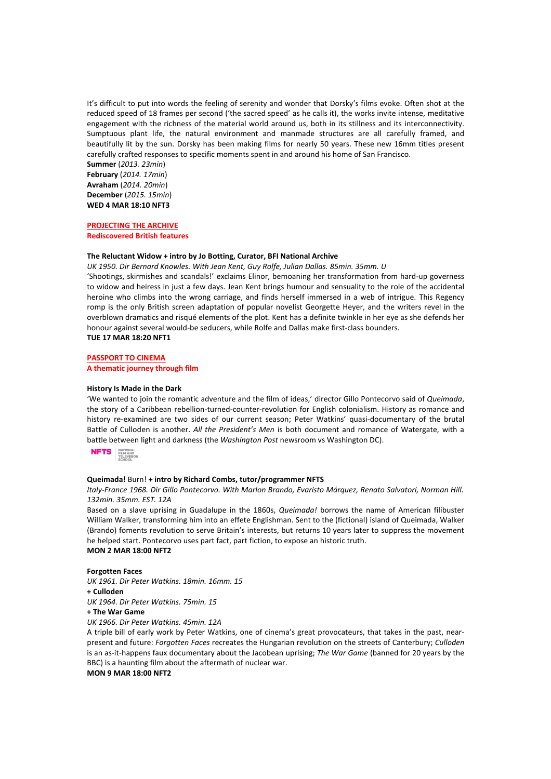It's difficult to put into words the feeling of serenity and wonder that Dorsky's films evoke. Often shot at the reduced speed of 18 frames per second ('the sacred speed' as he calls it), the works invite intense, meditative engagement with the richness of the material world around us, both in its stillness and its interconnectivity. Sumptuous plant life, the natural environment and manmade structures are all carefully framed, and beautifully lit by the sun. Dorsky has been making films for nearly 50 years. These new 16mm titles present carefully crafted responses to specific moments spent in and around his home of San Francisco.

**Summer** (*2013. 23min*) **February** (*2014. 17min*) **Avraham** (*2014. 20min*) **December** (*2015. 15min*) **WED 4 MAR 18:10 NFT3**

#### **PROJECTING THE ARCHIVE Rediscovered British features**

#### **The Reluctant Widow + intro by Jo Botting, Curator, BFI National Archive**

*UK 1950. Dir Bernard Knowles. With Jean Kent, Guy Rolfe, Julian Dallas. 85min. 35mm. U*

'Shootings, skirmishes and scandals!' exclaims Elinor, bemoaning her transformation from hard-up governess to widow and heiress in just a few days. Jean Kent brings humour and sensuality to the role of the accidental heroine who climbs into the wrong carriage, and finds herself immersed in a web of intrigue. This Regency romp is the only British screen adaptation of popular novelist Georgette Heyer, and the writers revel in the overblown dramatics and risqué elements of the plot. Kent has a definite twinkle in her eye as she defends her honour against several would-be seducers, while Rolfe and Dallas make first-class bounders.

# **TUE 17 MAR 18:20 NFT1**

### **PASSPORT TO CINEMA**

**A thematic journey through film**

#### **History Is Made in the Dark**

'We wanted to join the romantic adventure and the film of ideas,' director Gillo Pontecorvo said of *Queimada*, the story of a Caribbean rebellion-turned-counter-revolution for English colonialism. History as romance and history re-examined are two sides of our current season; Peter Watkins' quasi-documentary of the brutal Battle of Culloden is another. *All the President's Men* is both document and romance of Watergate, with a battle between light and darkness (the *Washington Post* newsroom vs Washington DC).



#### **Queimada!** Burn! **+ intro by Richard Combs, tutor/programmer NFTS**

*Italy-France 1968. Dir Gillo Pontecorvo. With Marlon Brando, Evaristo Márquez, Renato Salvatori, Norman Hill. 132min. 35mm. EST. 12A*

Based on a slave uprising in Guadalupe in the 1860s, *Queimada!* borrows the name of American filibuster William Walker, transforming him into an effete Englishman. Sent to the (fictional) island of Queimada, Walker (Brando) foments revolution to serve Britain's interests, but returns 10 years later to suppress the movement he helped start. Pontecorvo uses part fact, part fiction, to expose an historic truth. **MON 2 MAR 18:00 NFT2**

### **Forgotten Faces**

*UK 1961. Dir Peter Watkins. 18min. 16mm. 15*

**+ Culloden**

*UK 1964. Dir Peter Watkins. 75min. 15*

### **+ The War Game**

*UK 1966. Dir Peter Watkins. 45min. 12A*

A triple bill of early work by Peter Watkins, one of cinema's great provocateurs, that takes in the past, nearpresent and future: *Forgotten Faces* recreates the Hungarian revolution on the streets of Canterbury; *Culloden*  is an as-it-happens faux documentary about the Jacobean uprising; *The War Game* (banned for 20 years by the BBC) is a haunting film about the aftermath of nuclear war.

### **MON 9 MAR 18:00 NFT2**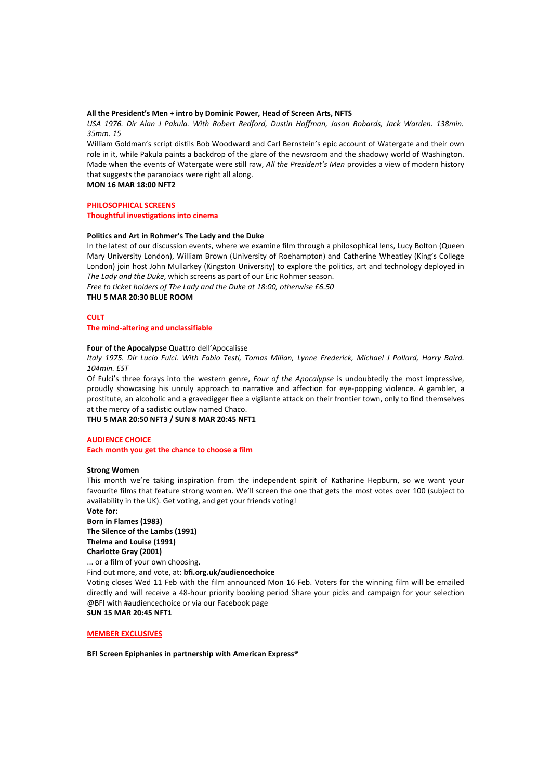#### **All the President's Men + intro by Dominic Power, Head of Screen Arts, NFTS**

*USA 1976. Dir Alan J Pakula. With Robert Redford, Dustin Hoffman, Jason Robards, Jack Warden. 138min. 35mm. 15*

William Goldman's script distils Bob Woodward and Carl Bernstein's epic account of Watergate and their own role in it, while Pakula paints a backdrop of the glare of the newsroom and the shadowy world of Washington. Made when the events of Watergate were still raw, *All the President's Men* provides a view of modern history that suggests the paranoiacs were right all along.

**MON 16 MAR 18:00 NFT2**

**PHILOSOPHICAL SCREENS**

**Thoughtful investigations into cinema**

#### **Politics and Art in Rohmer's The Lady and the Duke**

In the latest of our discussion events, where we examine film through a philosophical lens, Lucy Bolton (Queen Mary University London), William Brown (University of Roehampton) and Catherine Wheatley (King's College London) join host John Mullarkey (Kingston University) to explore the politics, art and technology deployed in *The Lady and the Duke*, which screens as part of our Eric Rohmer season. *Free to ticket holders of The Lady and the Duke at 18:00, otherwise £6.50* **THU 5 MAR 20:30 BLUE ROOM**

**CULT**

#### **The mind-altering and unclassifiable**

### **Four of the Apocalypse** Quattro dell'Apocalisse

*Italy 1975. Dir Lucio Fulci. With Fabio Testi, Tomas Milian, Lynne Frederick, Michael J Pollard, Harry Baird. 104min. EST*

Of Fulci's three forays into the western genre, *Four of the Apocalypse* is undoubtedly the most impressive, proudly showcasing his unruly approach to narrative and affection for eye-popping violence. A gambler, a prostitute, an alcoholic and a gravedigger flee a vigilante attack on their frontier town, only to find themselves at the mercy of a sadistic outlaw named Chaco.

**THU 5 MAR 20:50 NFT3 / SUN 8 MAR 20:45 NFT1**

#### **AUDIENCE CHOICE**

**Each month you get the chance to choose a film**

#### **Strong Women**

This month we're taking inspiration from the independent spirit of Katharine Hepburn, so we want your favourite films that feature strong women. We'll screen the one that gets the most votes over 100 (subject to availability in the UK). Get voting, and get your friends voting!

### **Vote for: Born in Flames (1983) The Silence of the Lambs (1991) Thelma and Louise (1991) Charlotte Gray (2001)**

... or a film of your own choosing. Find out more, and vote, at: **bfi.org.uk/audiencechoice**

Voting closes Wed 11 Feb with the film announced Mon 16 Feb. Voters for the winning film will be emailed directly and will receive a 48-hour priority booking period Share your picks and campaign for your selection @BFI with #audiencechoice or via our Facebook page

**SUN 15 MAR 20:45 NFT1**

#### **MEMBER EXCLUSIVES**

**BFI Screen Epiphanies in partnership with American Express®**